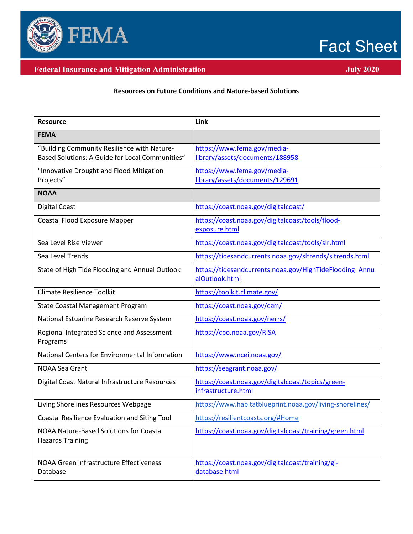

## Fact Sheet

## **Federal Insurance and Mitigation Administration July 2020 July 2020**

## **Resources on Future Conditions and Nature-based Solutions**

| <b>Resource</b>                                                                                | Link                                                                      |
|------------------------------------------------------------------------------------------------|---------------------------------------------------------------------------|
| <b>FEMA</b>                                                                                    |                                                                           |
| "Building Community Resilience with Nature-<br>Based Solutions: A Guide for Local Communities" | https://www.fema.gov/media-<br>library/assets/documents/188958            |
| "Innovative Drought and Flood Mitigation<br>Projects"                                          | https://www.fema.gov/media-<br>library/assets/documents/129691            |
| <b>NOAA</b>                                                                                    |                                                                           |
| <b>Digital Coast</b>                                                                           | https://coast.noaa.gov/digitalcoast/                                      |
| <b>Coastal Flood Exposure Mapper</b>                                                           | https://coast.noaa.gov/digitalcoast/tools/flood-<br>exposure.html         |
| Sea Level Rise Viewer                                                                          | https://coast.noaa.gov/digitalcoast/tools/slr.html                        |
| Sea Level Trends                                                                               | https://tidesandcurrents.noaa.gov/sltrends/sltrends.html                  |
| State of High Tide Flooding and Annual Outlook                                                 | https://tidesandcurrents.noaa.gov/HighTideFlooding Annu<br>alOutlook.html |
| <b>Climate Resilience Toolkit</b>                                                              | https://toolkit.climate.gov/                                              |
| State Coastal Management Program                                                               | https://coast.noaa.gov/czm/                                               |
| National Estuarine Research Reserve System                                                     | https://coast.noaa.gov/nerrs/                                             |
| Regional Integrated Science and Assessment<br>Programs                                         | https://cpo.noaa.gov/RISA                                                 |
| National Centers for Environmental Information                                                 | https://www.ncei.noaa.gov/                                                |
| <b>NOAA Sea Grant</b>                                                                          | https://seagrant.noaa.gov/                                                |
| Digital Coast Natural Infrastructure Resources                                                 | https://coast.noaa.gov/digitalcoast/topics/green-<br>infrastructure.html  |
| Living Shorelines Resources Webpage                                                            | https://www.habitatblueprint.noaa.gov/living-shorelines/                  |
| Coastal Resilience Evaluation and Siting Tool                                                  | https://resilientcoasts.org/#Home                                         |
| NOAA Nature-Based Solutions for Coastal<br><b>Hazards Training</b>                             | https://coast.noaa.gov/digitalcoast/training/green.html                   |
| NOAA Green Infrastructure Effectiveness<br>Database                                            | https://coast.noaa.gov/digitalcoast/training/gi-<br>database.html         |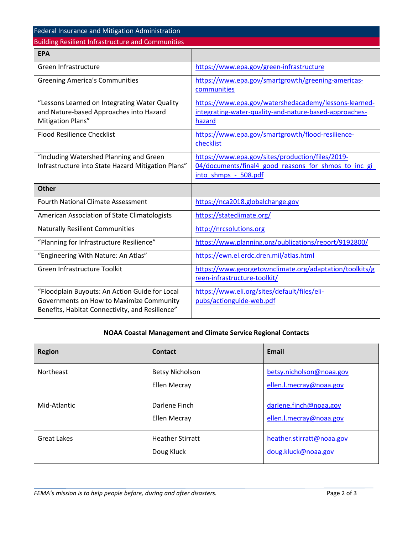| Federal Insurance and Mitigation Administration                                                                                               |                                                                                                                                  |  |
|-----------------------------------------------------------------------------------------------------------------------------------------------|----------------------------------------------------------------------------------------------------------------------------------|--|
| <b>Building Resilient Infrastructure and Communities</b>                                                                                      |                                                                                                                                  |  |
| <b>EPA</b>                                                                                                                                    |                                                                                                                                  |  |
| Green Infrastructure                                                                                                                          | https://www.epa.gov/green-infrastructure                                                                                         |  |
| <b>Greening America's Communities</b>                                                                                                         | https://www.epa.gov/smartgrowth/greening-americas-<br>communities                                                                |  |
| "Lessons Learned on Integrating Water Quality<br>and Nature-based Approaches into Hazard<br>Mitigation Plans"                                 | https://www.epa.gov/watershedacademy/lessons-learned-<br>integrating-water-quality-and-nature-based-approaches-<br>hazard        |  |
| <b>Flood Resilience Checklist</b>                                                                                                             | https://www.epa.gov/smartgrowth/flood-resilience-<br>checklist                                                                   |  |
| "Including Watershed Planning and Green<br>Infrastructure into State Hazard Mitigation Plans"                                                 | https://www.epa.gov/sites/production/files/2019-<br>04/documents/final4 good reasons for shmos to inc gi<br>into shmps - 508.pdf |  |
| <b>Other</b>                                                                                                                                  |                                                                                                                                  |  |
| <b>Fourth National Climate Assessment</b>                                                                                                     | https://nca2018.globalchange.gov                                                                                                 |  |
| American Association of State Climatologists                                                                                                  | https://stateclimate.org/                                                                                                        |  |
| <b>Naturally Resilient Communities</b>                                                                                                        | http://nrcsolutions.org                                                                                                          |  |
| "Planning for Infrastructure Resilience"                                                                                                      | https://www.planning.org/publications/report/9192800/                                                                            |  |
| "Engineering With Nature: An Atlas"                                                                                                           | https://ewn.el.erdc.dren.mil/atlas.html                                                                                          |  |
| Green Infrastructure Toolkit                                                                                                                  | https://www.georgetownclimate.org/adaptation/toolkits/g<br>reen-infrastructure-toolkit/                                          |  |
| "Floodplain Buyouts: An Action Guide for Local<br>Governments on How to Maximize Community<br>Benefits, Habitat Connectivity, and Resilience" | https://www.eli.org/sites/default/files/eli-<br>pubs/actionguide-web.pdf                                                         |  |

## **NOAA Coastal Management and Climate Service Regional Contacts**

| <b>Region</b>    | Contact                                | <b>Email</b>                                        |
|------------------|----------------------------------------|-----------------------------------------------------|
| <b>Northeast</b> | <b>Betsy Nicholson</b><br>Ellen Mecray | betsy.nicholson@noaa.gov<br>ellen.l.mecray@noaa.gov |
| Mid-Atlantic     | Darlene Finch<br><b>Ellen Mecray</b>   | darlene.finch@noaa.gov<br>ellen.l.mecray@noaa.gov   |
| Great Lakes      | <b>Heather Stirratt</b><br>Doug Kluck  | heather.stirratt@noaa.gov<br>doug.kluck@noaa.gov    |